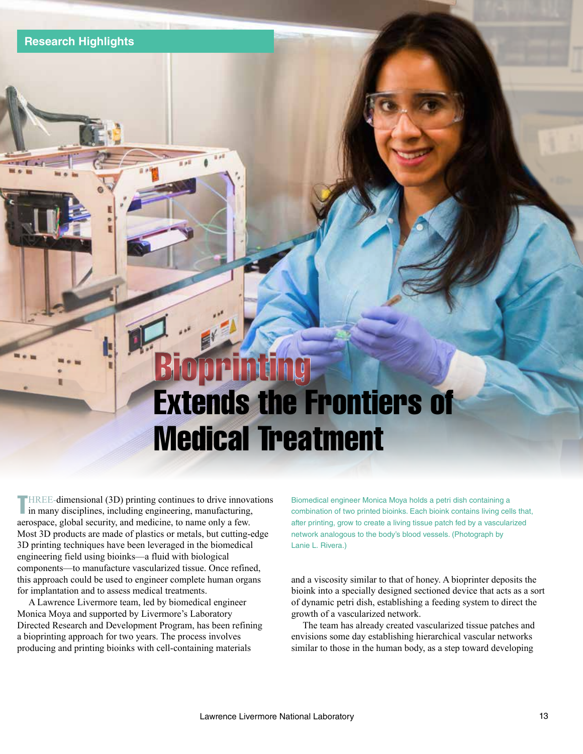# Extends the Frontiers of Medical Treatment **Bioprinting**

**THREE-dimensional (3D) printing continues to drive innovations** in many disciplines, including engineering, manufacturing, I in many disciplines, including engineering, manufacturing, aerospace, global security, and medicine, to name only a few. Most 3D products are made of plastics or metals, but cutting-edge 3D printing techniques have been leveraged in the biomedical engineering field using bioinks—a fluid with biological components—to manufacture vascularized tissue. Once refined, this approach could be used to engineer complete human organs for implantation and to assess medical treatments.

A Lawrence Livermore team, led by biomedical engineer Monica Moya and supported by Livermore's Laboratory Directed Research and Development Program, has been refining a bioprinting approach for two years. The process involves producing and printing bioinks with cell-containing materials

Biomedical engineer Monica Moya holds a petri dish containing a combination of two printed bioinks. Each bioink contains living cells that, after printing, grow to create a living tissue patch fed by a vascularized network analogous to the body's blood vessels. (Photograph by Lanie L. Rivera.)

and a viscosity similar to that of honey. A bioprinter deposits the bioink into a specially designed sectioned device that acts as a sort of dynamic petri dish, establishing a feeding system to direct the growth of a vascularized network.

The team has already created vascularized tissue patches and envisions some day establishing hierarchical vascular networks similar to those in the human body, as a step toward developing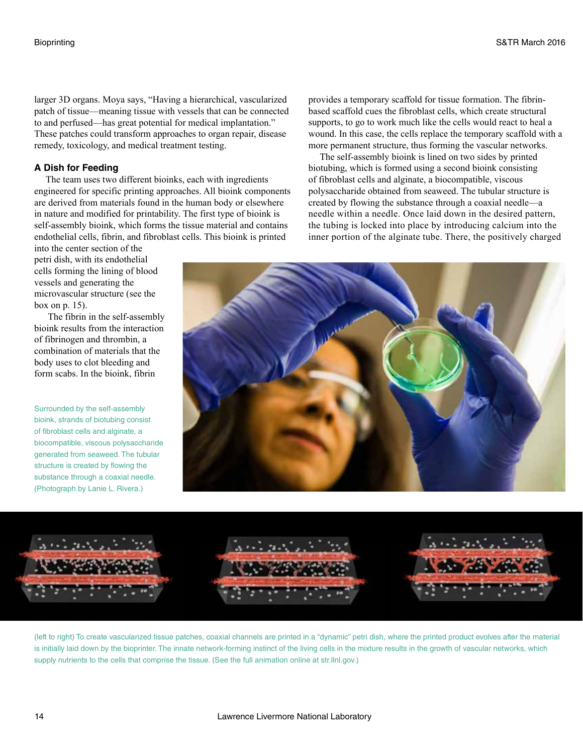larger 3D organs. Moya says, "Having a hierarchical, vascularized patch of tissue—meaning tissue with vessels that can be connected to and perfused—has great potential for medical implantation." These patches could transform approaches to organ repair, disease remedy, toxicology, and medical treatment testing.

## **A Dish for Feeding**

The team uses two different bioinks, each with ingredients engineered for specific printing approaches. All bioink components are derived from materials found in the human body or elsewhere in nature and modified for printability. The first type of bioink is self-assembly bioink, which forms the tissue material and contains endothelial cells, fibrin, and fibroblast cells. This bioink is printed

into the center section of the petri dish, with its endothelial cells forming the lining of blood vessels and generating the microvascular structure (see the box on p. 15).

 The fibrin in the self-assembly bioink results from the interaction of fibrinogen and thrombin, a combination of materials that the body uses to clot bleeding and form scabs. In the bioink, fibrin

Surrounded by the self-assembly bioink, strands of biotubing consist of fibroblast cells and alginate, a biocompatible, viscous polysaccharide generated from seaweed. The tubular structure is created by flowing the substance through a coaxial needle. (Photograph by Lanie L. Rivera.)

provides a temporary scaffold for tissue formation. The fibrinbased scaffold cues the fibroblast cells, which create structural supports, to go to work much like the cells would react to heal a wound. In this case, the cells replace the temporary scaffold with a more permanent structure, thus forming the vascular networks.

The self-assembly bioink is lined on two sides by printed biotubing, which is formed using a second bioink consisting of fibroblast cells and alginate, a biocompatible, viscous polysaccharide obtained from seaweed. The tubular structure is created by flowing the substance through a coaxial needle—a needle within a needle. Once laid down in the desired pattern, the tubing is locked into place by introducing calcium into the inner portion of the alginate tube. There, the positively charged





(left to right) To create vascularized tissue patches, coaxial channels are printed in a "dynamic" petri dish, where the printed product evolves after the material is initially laid down by the bioprinter. The innate network-forming instinct of the living cells in the mixture results in the growth of vascular networks, which supply nutrients to the cells that comprise the tissue. (See the full animation online at str.llnl.gov.)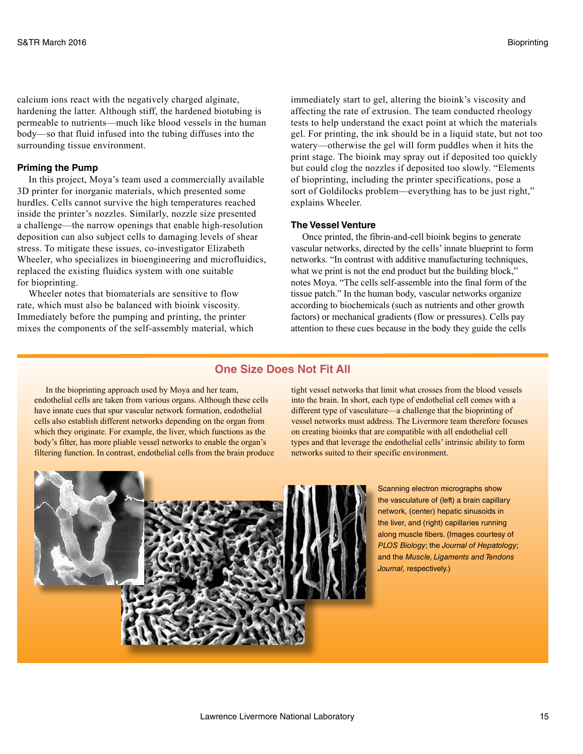calcium ions react with the negatively charged alginate, hardening the latter. Although stiff, the hardened biotubing is permeable to nutrients—much like blood vessels in the human body—so that fluid infused into the tubing diffuses into the surrounding tissue environment.

### **Priming the Pump**

In this project, Moya's team used a commercially available 3D printer for inorganic materials, which presented some hurdles. Cells cannot survive the high temperatures reached inside the printer's nozzles. Similarly, nozzle size presented a challenge—the narrow openings that enable high-resolution deposition can also subject cells to damaging levels of shear stress. To mitigate these issues, co-investigator Elizabeth Wheeler, who specializes in bioengineering and microfluidics, replaced the existing fluidics system with one suitable for bioprinting.

Wheeler notes that biomaterials are sensitive to flow rate, which must also be balanced with bioink viscosity. Immediately before the pumping and printing, the printer mixes the components of the self-assembly material, which

immediately start to gel, altering the bioink's viscosity and affecting the rate of extrusion. The team conducted rheology tests to help understand the exact point at which the materials gel. For printing, the ink should be in a liquid state, but not too watery—otherwise the gel will form puddles when it hits the print stage. The bioink may spray out if deposited too quickly but could clog the nozzles if deposited too slowly. "Elements of bioprinting, including the printer specifications, pose a sort of Goldilocks problem—everything has to be just right," explains Wheeler.

## **The Vessel Venture**

Once printed, the fibrin-and-cell bioink begins to generate vascular networks, directed by the cells' innate blueprint to form networks. "In contrast with additive manufacturing techniques, what we print is not the end product but the building block," notes Moya. "The cells self-assemble into the final form of the tissue patch." In the human body, vascular networks organize according to biochemicals (such as nutrients and other growth factors) or mechanical gradients (flow or pressures). Cells pay attention to these cues because in the body they guide the cells

# **One Size Does Not Fit All**

In the bioprinting approach used by Moya and her team, endothelial cells are taken from various organs. Although these cells have innate cues that spur vascular network formation, endothelial cells also establish different networks depending on the organ from which they originate. For example, the liver, which functions as the body's filter, has more pliable vessel networks to enable the organ's filtering function. In contrast, endothelial cells from the brain produce tight vessel networks that limit what crosses from the blood vessels into the brain. In short, each type of endothelial cell comes with a different type of vasculature—a challenge that the bioprinting of vessel networks must address. The Livermore team therefore focuses on creating bioinks that are compatible with all endothelial cell types and that leverage the endothelial cells' intrinsic ability to form networks suited to their specific environment.



Scanning electron micrographs show the vasculature of (left) a brain capillary network, (center) hepatic sinusoids in the liver, and (right) capillaries running along muscle fibers. (Images courtesy of *PLOS Biology*; the *Journal of Hepatology*; and the *Muscle, Ligaments and Tendons Journal*, respectively.)